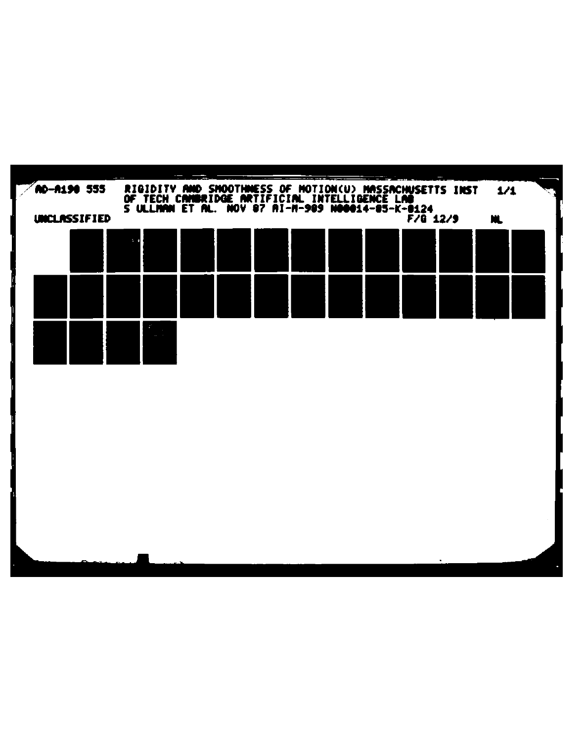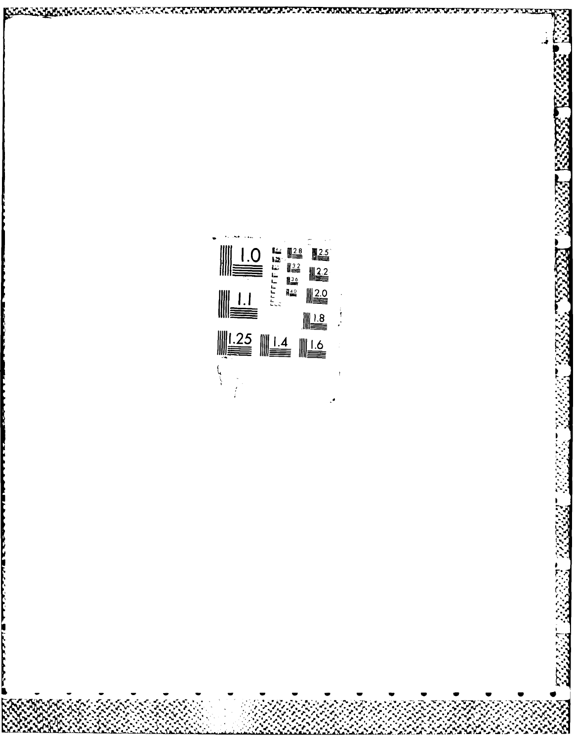

្ត

**Contactor**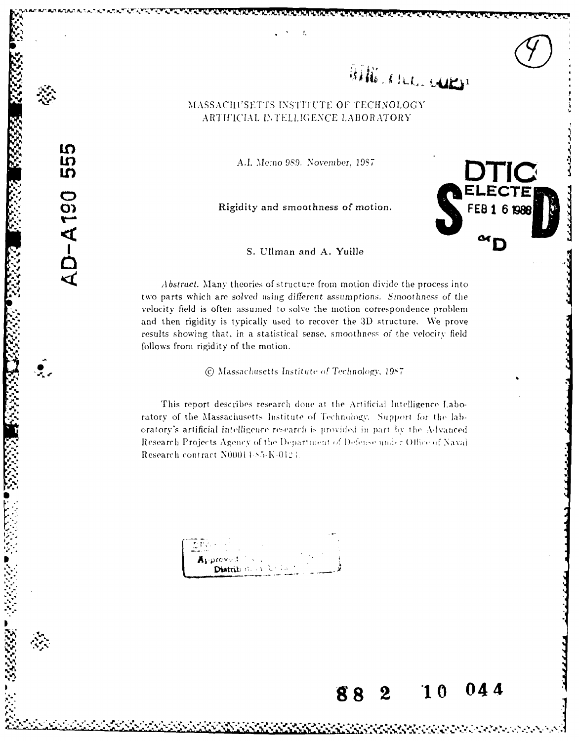BING SILL EVEN

FEB 1 6 1988

## MASSACHUSETTS INSTITUTE OF TECHNOLOGY ARTIFICIAL INTELLIGENCE LABORATORY

A.I. Memo 989. November, 1987

က  $\bar{5}$ 

**AD-A190** 

Rigidity and smoothness of motion.

## S. Ullman and A. Yuille

Abstract. Many theories of structure from motion divide the process into two parts which are solved using different assumptions. Smoothness of the velocity field is often assumed to solve the motion correspondence problem and then rigidity is typically used to recover the 3D structure. We prove results showing that, in a statistical sense, smoothness of the velocity field follows from rigidity of the motion.

C Massachusetts Institute of Technology, 1987

This report describes research done at the Artificial Intelligence Laboratory of the Massachusetts Institute of Technology. Support for the laboratory's artificial intelligence research is provided in part by the Advanced Research Projects Agency of the Department of Defense under Office of Naval Research contract N0001485-K-0124.

Auproved Distribut.

#### 044  $10$  $\bf{2}$  $88$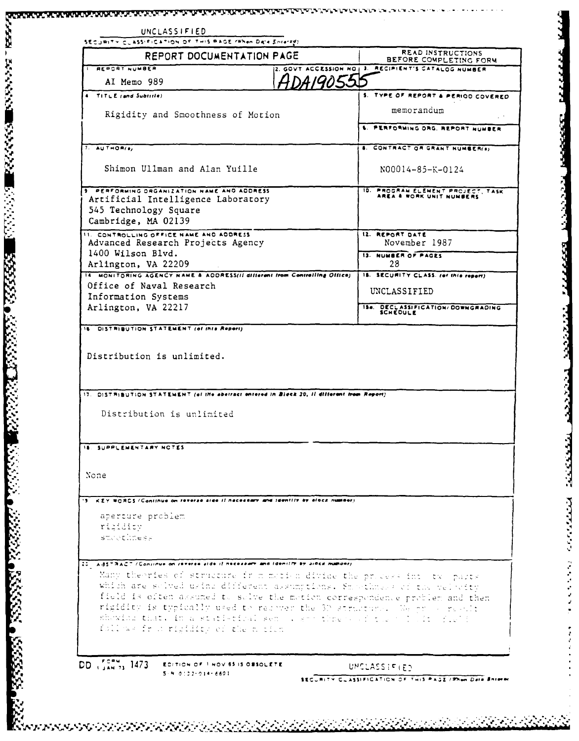| REPORT DOCUMENTATION PAGE                                                                  |                                   | READ INSTRUCTIONS<br>BEFORE COMPLETING FORM                                                                                                                                                                                                                                                                                                                                      |
|--------------------------------------------------------------------------------------------|-----------------------------------|----------------------------------------------------------------------------------------------------------------------------------------------------------------------------------------------------------------------------------------------------------------------------------------------------------------------------------------------------------------------------------|
| <b>I REPORT NUMBER</b>                                                                     |                                   | 2. GOVT ACCESSION NO.  3. RECIPIENT'S CATALOG NUMBER                                                                                                                                                                                                                                                                                                                             |
| AI Memo 989                                                                                |                                   |                                                                                                                                                                                                                                                                                                                                                                                  |
| 4 TITLE cand Subtitle)                                                                     |                                   | 5. TYPE OF REPORT & PERIOD COVERED.                                                                                                                                                                                                                                                                                                                                              |
|                                                                                            | Rigidity and Smoothness of Motion |                                                                                                                                                                                                                                                                                                                                                                                  |
|                                                                                            |                                   | <b>S. PERFORMING ORG. REPORT NUMBER</b>                                                                                                                                                                                                                                                                                                                                          |
| $7.$ AUTHOR(e)                                                                             |                                   |                                                                                                                                                                                                                                                                                                                                                                                  |
| Shimon Ullman and Alan Yuille                                                              |                                   | N00014-85-K-0124                                                                                                                                                                                                                                                                                                                                                                 |
|                                                                                            |                                   |                                                                                                                                                                                                                                                                                                                                                                                  |
| 9 PERFORMING ORGANIZATION NAME AND ADDRESS<br>Artificial Intelligence Laboratory           |                                   | 10. PROGRAM ELEMENT PROJECT, TASK<br>AREA & WORK UNIT NUMBERS                                                                                                                                                                                                                                                                                                                    |
| 545 Technology Square                                                                      |                                   |                                                                                                                                                                                                                                                                                                                                                                                  |
| Cambridge, MA 02139                                                                        |                                   |                                                                                                                                                                                                                                                                                                                                                                                  |
| IL CONTROLLING OFFICE NAME AND ADDRESS<br>Advanced Research Projects Agency                |                                   | <b>12. REPORT DATE</b><br>November 1987                                                                                                                                                                                                                                                                                                                                          |
| 1400 Wilson Blvd.                                                                          |                                   | <b>13. NUMBER OF PAGES</b>                                                                                                                                                                                                                                                                                                                                                       |
| Arlington, VA 22209                                                                        |                                   | 28                                                                                                                                                                                                                                                                                                                                                                               |
| 14 MONITORING AGENCY NAME & ADDRESS(II different from Controlling Office)                  |                                   | 15. SECURITY CLASS. (of this report)                                                                                                                                                                                                                                                                                                                                             |
| Office of Naval Research<br>Information Systems                                            |                                   | UNCLASSIFIED                                                                                                                                                                                                                                                                                                                                                                     |
| Arlington, VA 22217                                                                        |                                   | 154. DECLASSIFICATION/DOWNGRADING                                                                                                                                                                                                                                                                                                                                                |
| 16 DISTRIBUTION STATEMENT (of this Report)                                                 |                                   |                                                                                                                                                                                                                                                                                                                                                                                  |
| 17. DISTRIBUTION STATEMENT (of the abetract entered in Block 20, if different from Report) |                                   |                                                                                                                                                                                                                                                                                                                                                                                  |
| Distribution is unlimited                                                                  |                                   |                                                                                                                                                                                                                                                                                                                                                                                  |
| <b>18. SUPPLEMENTARY NOTES</b>                                                             |                                   |                                                                                                                                                                                                                                                                                                                                                                                  |
| None                                                                                       |                                   |                                                                                                                                                                                                                                                                                                                                                                                  |
| 15. KEY WORCS (Continue on reverse side il necessary and identity by since number)         |                                   |                                                                                                                                                                                                                                                                                                                                                                                  |
| aperture problem                                                                           |                                   |                                                                                                                                                                                                                                                                                                                                                                                  |
| rigidity                                                                                   |                                   |                                                                                                                                                                                                                                                                                                                                                                                  |
| smoothness                                                                                 |                                   |                                                                                                                                                                                                                                                                                                                                                                                  |
| 20. A-35TRACT (Continue on reverse alde it necessary and identity by aidca numowr)         |                                   |                                                                                                                                                                                                                                                                                                                                                                                  |
| follows from rigidity of the modic.                                                        |                                   | Many theories of structure in moments divide the process into two parts<br>which are solved using different assumptions. Smoothness of the velocity<br>field is often assumed to solve the motion correspondence problem and then<br>rigidity is typically used to recover the 30 structure. We prove result<br>showing that, in a stati-final sensor show witter that the field |
| DD (SANT) 1473 EDITION OF THOV 65 IS OBSOLETE<br>$5 - N$ 0:32-014-6601                     |                                   | UNCLASSIFIED                                                                                                                                                                                                                                                                                                                                                                     |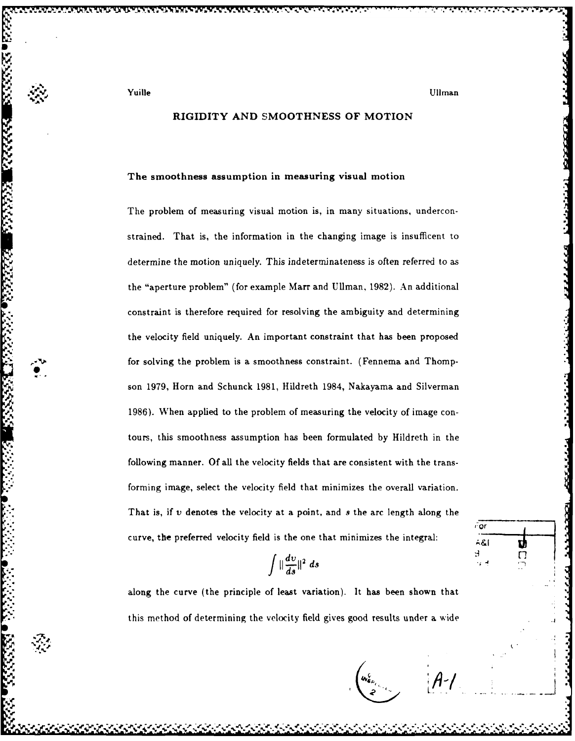$\bm{\mathrm{Y}}$ uille  $\bm{\mathrm{U}}$ llman  $\bm{\mathrm{U}}$ 

**CORREN** 

<u>الانتتائين المائيل</u>

## **RIGIDITY AND SMOOTHNESS OF MOTION**

## The smoothness assumption in measuring visual motion

The problem of measuring visual motion is, in many situations, undercon-<br>The smoothness assumption in measuring visual motion<br>The problem of measuring visual motion is, in many situations, undercon-<br>strained. That is, the strained. That is, the information in the changing image is insufficent to determine the motion uniquely. This indeterminateness is often referred to as the "aperture problem" (for example Marr and Ullman, 1982). An additional constraint is therefore required for resolving the ambiguity and determining the velocity field uniquely. An important constraint that has been proposed for solving the problem is a smoothness constraint. (Fennema and Thompson **1979,** Horn and Schunck **1981,** Hildreth 1984, Nakayama and Silverman **5,,** 1986). When applied to the problem of measuring the velocity of image contours, this smoothness assumption has been formulated by Hildreth in the following manner. **Of** all the velocity fields that are consistent with the transforming image, select the velocity field that minimizes the overall variation. That is, if *v* denotes the velocity at a point, and *s* the arc length along the curve, the preferred velocity field is the one that minimizes the integral:

 $\int ||\frac{dv}{ds}||^2 ds$ 

along the curve (the principle of least variation). It has been shown that this method of determining the velocity field gives good results under a wide

'~or !  $12A$ IJ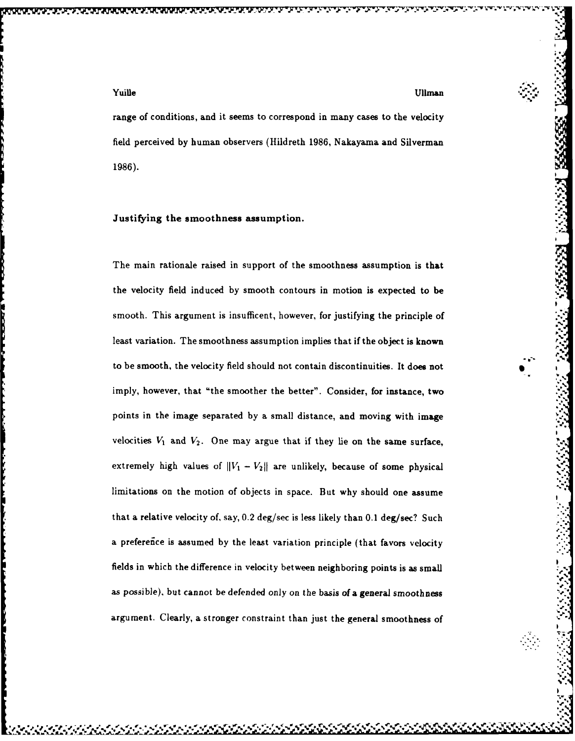**'U C. .**, a"€ **C. .**, and a straight and a straight and a straight and a straight and  $\mathbf{y}$ 

**",,.**

range of conditions, and it seems to correspond in many cases to the velocity field perceived **by** human observers (Hildreth **1986,** Nakayama and Silverman **1986).**

## Justifying the smoothness assumption.

The main rationale raised in support of the smoothness assumption is that the velocity field induced **by** smooth contours in motion is expected to be smooth. This argument is insufficent, however, for justifying the principle of least variation. The smoothness assumption implies that if the object is known to be smooth, the velocity field should not contain discontinuities. It does not **imply,** however, that "the **smoother** the **better".** Consider, for instance, two points in the image separated **by** a small distance, and moving with image velocities  $V_1$  and  $V_2$ . One may argue that if they lie on the same surface, extremely high values of  $||V_1 - V_2||$  are unlikely, because of some physical limitations on the motion of objects in space. But why should one assume that a relative velocity of, say, 0.2 deg/sec is less likely than **0.1** deg/sec? Such a preference is assumed **by** the least variation principle (that favors velocity fields in which the difference in velocity between neighboring points is as small as possible), but cannot be defended only on the basis of a general smoothness argument. Clearly, a stronger constraint than just the general smoothness of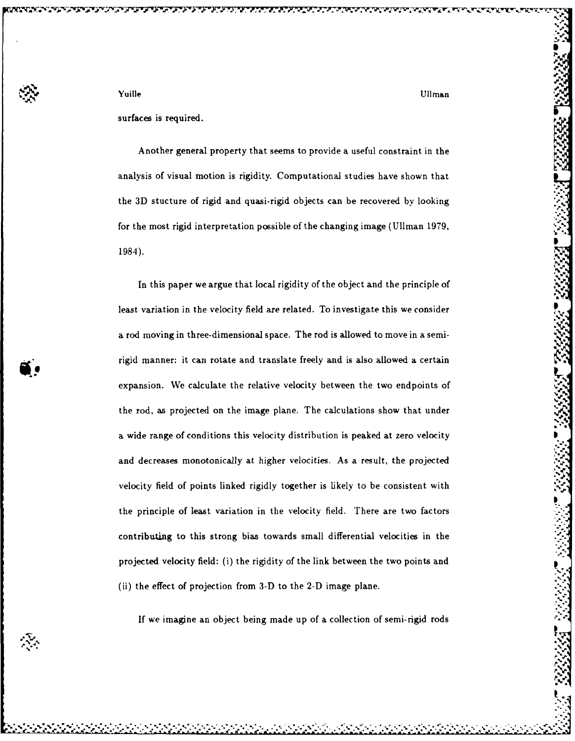$\mathbf{M}$ 

**Yuille** Ullman and Ullman and Ullman and Ullman and Ullman and Ullman and Ullman and Ullman and Ullman and Ullman

surfaces is required.

Another general property that seems to provide a useful constraint in the analysis of visual motion is rigidity. Computational studies have shown that the **3D** stucture of rigid and quasi-rigid objects can be recovered **by** looking for the most rigid interpretation possible of the changing image (Ullman **1979,** 1984).

In this paper we argue that local rigidity of the object and the principle of least variation in the velocity field are related. To investigate this we consider a rod moving in three-dimensional space. The rod is allowed to move in a semirigid manner: it can rotate and translate freely and is also allowed a certain expansion. We calculate the relative velocity between the two endpoints of the rod, *as* projected on the image plane. The calculations show that under a wide range of conditions this velocity distribution is peaked at zero velocity and decreases monotonically at higher velocities. As a result, the projected velocity field of points linked rigidly together is likely to be consistent with the principle of least variation in the velocity field. There are two factors contributing to this strong bias towards small differential velocities in theprojected velocity field: (i) the rigidity of the link between the two points and (ii) the effect of projection from 3-D to the 2-D image plane.

If we imagine an object being made up of a collection of semi-rigid rods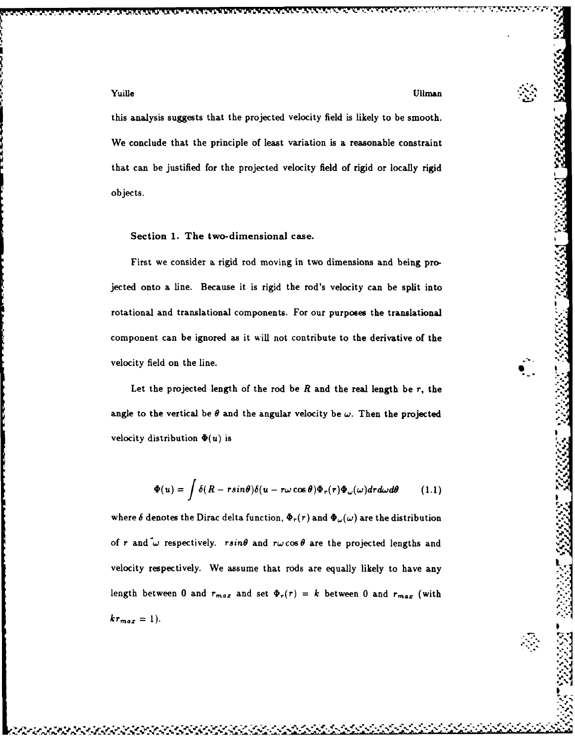**Sj.** p .. ~ *u~x:.' .* **S**

**;v.**

this analysis suggests that the projected velocity field is likely to be smooth. We conclude that the principle of least variation is a reasonable constraint that can be justified for the projected velocity field of rigid or locally rigid objects.

## Section **1.** The two-dimensional case.

First we consider a rigid rod moving in two dimensions and being projected onto a line. Because it is rigid the rod's velocity can be split into rotational and translational components. For our purposes the translational component can be ignored as it will not contribute to the derivative of the velocity field on the line.

Let the projected length of the rod be  $R$  and the real length be  $r$ , the angle to the vertical be  $\theta$  and the angular velocity be  $\omega$ . Then the projected velocity distribution  $\Phi(u)$  is

$$
\Phi(u) = \int \delta(R - r sin \theta) \delta(u - r \omega cos \theta) \Phi_r(r) \Phi_\omega(\omega) dr d\omega d\theta \qquad (1.1)
$$

**'p-** ... ':..,:;

where  $\delta$  denotes the Dirac delta function,  $\Phi_r(r)$  and  $\Phi_\omega(\omega)$  are the distribution of  $r$  and  $\omega$  respectively.  $r\sin\theta$  and  $r\omega\cos\theta$  are the projected lengths and velocity respectively. We assume that rods are equally likely to have any length between 0 and  $r_{max}$  and set  $\Phi_r(r) = k$  between 0 and  $r_{max}$  (with  $kr_{max} = 1$ ).

 $\mathbf{y}$  is the ultimate  $\mathbf{y}$  in the ultimate  $\mathbf{y}$  is the ultimate of  $\mathbf{y}$  is the ultimate of  $\mathbf{y}$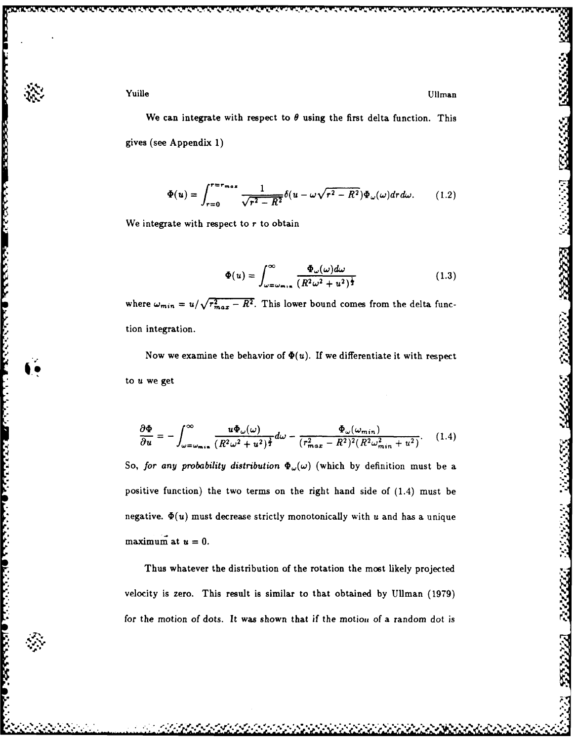**The Community of the Ullman Community of the Ullman Community of the Ullman Community of the Ullman Community** of the Ullman Community of the Ullman Community of the Ullman Community of the Ullman Community of the Ullman

 $\mathcal{L} = \mathcal{L}$ 

「そのことに、「そのことのこと」ということに、「そのことのこと」というのですが、「これにいつことになっている」

We can integrate with respect to  $\theta$  using the first delta function. This Yuille<br>We can integrate with respect to  $\theta$  using the first delta function. This<br>gives (see Appendix 1)<br>Section 1)

 $\Phi(u) = \int_{r=0}^{r=r_{max}} \frac{1}{\sqrt{r^2 - R^2}} \delta(u - \omega\sqrt{r^2 - R^2}) \Phi_{\omega}(\omega) dr d\omega.$  (1.2)

We integrate with respect to  $r$  to obtain

$$
\Phi(u) = \int_{\omega = \omega_{\min}}^{\infty} \frac{\Phi_{\omega}(\omega) d\omega}{(R^2 \omega^2 + u^2)^{\frac{1}{2}}} \tag{1.3}
$$

where  $\omega_{min} = u/\sqrt{r_{max}^2 - R^2}$ . This lower bound comes from the delta function integration.

Now we examine the behavior of  $\Phi(u)$ . If we differentiate it with respect to **u** we get

$$
\frac{\partial \Phi}{\partial u} = -\int_{\omega=\omega_{\text{min}}}^{\infty} \frac{u \Phi_{\omega}(\omega)}{(R^2 \omega^2 + u^2)^{\frac{3}{2}}} d\omega - \frac{\Phi_{\omega}(\omega_{\text{min}})}{(r_{\text{max}}^2 - R^2)^2 (R^2 \omega_{\text{min}}^2 + u^2)}.
$$
 (1.4)

So, for any probability distribution  $\Phi_{\omega}(\omega)$  (which by definition must be a positive function) the two terms on the right hand side of (1.4) must be negative.  $\Phi(u)$  must decrease strictly monotonically with *u* and has a unique maximum at  $u = 0$ .

Thus whatever the distribution of the rotation the most likely projected velocity is zero. This result is similar to that obtained by Ullman (1979) for the motion of dots. It was shown that if the motion of a random dot is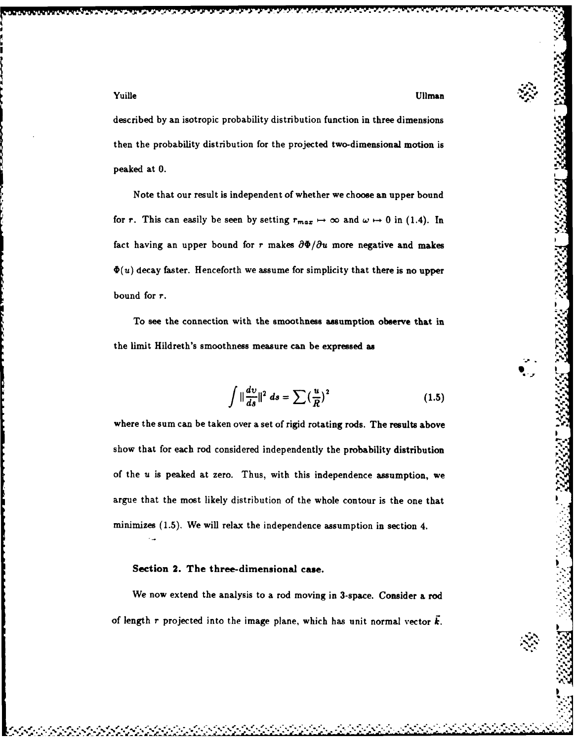A,, 's,.

**\*- .,]**

**'.**

*.ds'.*

**- t a 5 ..**

described **by** an isotropic probability distribution function in three dimensions then the probability distribution for the projected two-dimensional motion is peaked at **0.**

Note that our result is independent of whether we choose an upper bound for r. This can easily be seen by setting  $r_{max} \rightarrow \infty$  and  $\omega \rightarrow 0$  in (1.4). In fact having an upper bound for *r* makes  $\partial \Phi / \partial u$  more negative and makes  $\Phi(u)$  decay faster. Henceforth we assume for simplicity that there is no upper bound for  $r$ .

To see the connection with the smoothness assumption observe that in **<sup>p</sup>** the limit Hildreth's smoothness measure can be expressed as

$$
\int \|\frac{dv}{ds}\|^2 ds = \sum \left(\frac{u}{R}\right)^2 \tag{1.5}
$$

where the sum can be taken over a set of rigid rotating rods. The results above **l** show that for each rod considered independently the probability distribution of the u is peaked at zero. Thus, with this independence assumption, we argue that the most likely distribution of the whole contour is the one that minimizes **(1.5).** We will relax the independence assumption in section 4.

## Section **2. The three-dimensional case.**

We now extend the analysis to a rod moving in 3-space. Consider a rod of length r projected into the image plane, which has unit normal vector  $\vec{k}$ .

## Yuilie **Ullman -d,**

**0**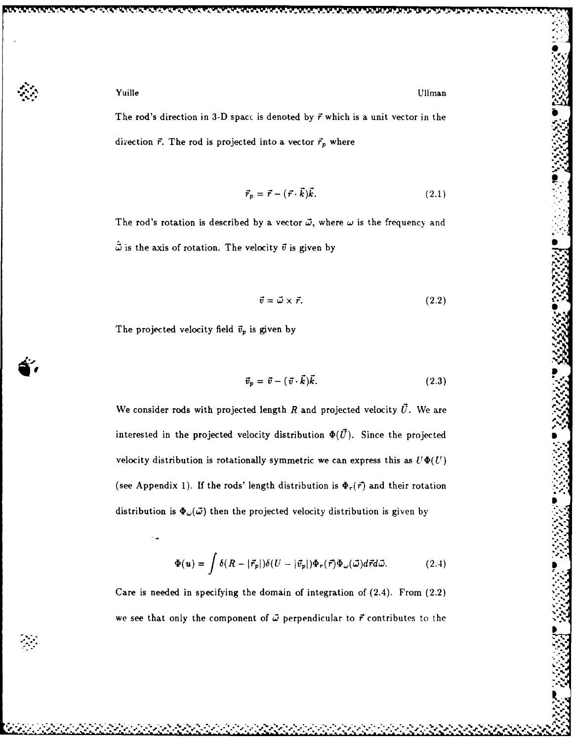The rod's direction in **3-D** spacc is denoted **by** *F* which is a unit vector in the direction  $\vec{r}$ . The rod is projected into a vector  $\vec{r}_p$  where

$$
\vec{r}_p = \vec{r} - (\vec{r} \cdot \vec{k})\vec{k}.\tag{2.1}
$$

The rod's rotation is described by a vector  $\vec{\omega}$ , where  $\omega$  is the frequency and  $\hat{\vec{\omega}}$  is the axis of rotation. The velocity  $\vec{v}$  is given by

$$
\vec{v} = \vec{\omega} \times \vec{r}.\tag{2.2}
$$

The projected velocity field  $\vec{v}_p$  is given by

$$
\vec{v}_p = \vec{v} - (\vec{v} \cdot \vec{k})\vec{k}.\tag{2.3}
$$

We consider rods with projected length  $R$  and projected velocity  $\vec{U}$ . We are interested in the projected velocity distribution  $\Phi(\vec{U})$ . Since the projected velocity distribution is rotationally symmetric we can express this as  $U\Phi(U)$ (see Appendix 1). If the rods' length distribution is  $\Phi_r(\vec{r})$  and their rotation distribution is  $\Phi_{\omega}(\vec{\omega})$  then the projected velocity distribution is given by

$$
\Phi(u) = \int \delta(R - |\vec{r}_p|) \delta(U - |\vec{v}_p|) \Phi_r(\vec{r}) \Phi_\omega(\vec{\omega}) d\vec{r} d\vec{\omega}.
$$
 (2.4)

:-:':-" G"

Care is needed in specifying the domain of integration of (2.4). From (2.2) we see that only the component of  $\vec{\omega}$  perpendicular to  $\vec{r}$  contributes to the

**The Community of the Community of the Ullman** Community of the Ullman Community of the Ullman Community of the U

**4. .4**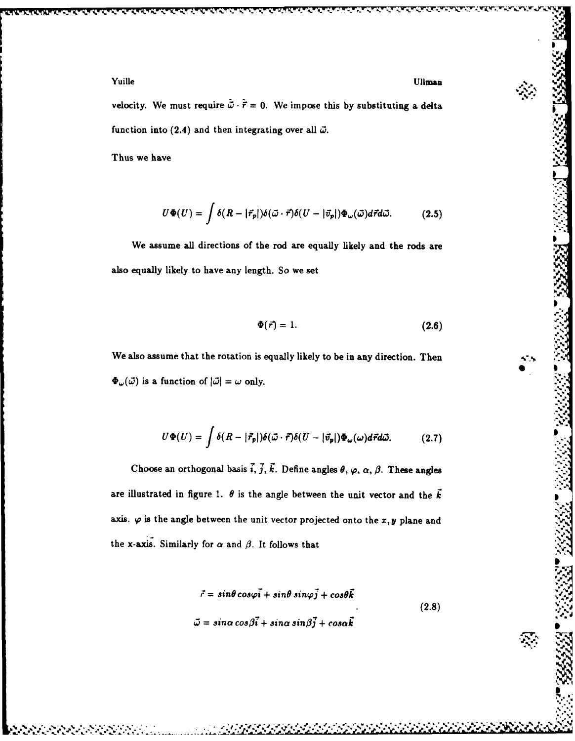**The Vuille** Contract of the Ullman Contract of the Ullman Contract of the Ullman Contract of the Ullman Contract of the Ullman Contract of the Ullman Contract of the Ullman Contract of the Ullman Contract of the Ullman Co

**N%.,-**

**.- 1**

**Q**

**-V1:.**

**. ,**

velocity. We must require  $\hat{\vec{\omega}} \cdot \hat{\vec{r}} = 0$ . We impose this by substituting a delta function into (2.4) and then integrating over all  $\vec{\omega}$ .

Thus we have **I**

$$
U\Phi(U) = \int \delta(R - |\vec{r}_p|)\delta(\vec{\omega} \cdot \vec{r})\delta(U - |\vec{v}_p|)\Phi_{\omega}(\vec{\omega})d\vec{r}d\vec{\omega}.
$$
 (2.5)

We assume all directions of the rod are equally likely and the rods are also equally likely to have any length. So we set **<sup>h</sup>**

$$
\Phi(\vec{r}) = 1. \tag{2.6}
$$

We also assume that the rotation is equally likely to be in any direction. Then  $\Phi_{\omega}(\vec{\omega})$  is a function of  $|\vec{\omega}| = \omega$  only.

$$
U\Phi(U) = \int \delta(R - |\vec{r}_p|)\delta(\vec{\omega} \cdot \vec{r})\delta(U - |\vec{v}_p|)\Phi_{\omega}(\omega)d\vec{r}d\vec{\omega}.
$$
 (2.7)

Choose an orthogonal basis  $\vec{i}$ ,  $\vec{j}$ ,  $\vec{k}$ . Define angles  $\theta$ ,  $\varphi$ ,  $\alpha$ ,  $\beta$ . These angles are illustrated in figure 1.  $\theta$  is the angle between the unit vector and the  $\vec{k}$ axis.  $\varphi$  is the angle between the unit vector projected onto the  $x, y$  plane and the x-axis. Similarly for  $\alpha$  and  $\beta$ . It follows that

$$
\vec{r} = \sin\theta \cos\varphi \vec{i} + \sin\theta \sin\varphi \vec{j} + \cos\theta \vec{k}
$$
  

$$
\vec{\omega} = \sin\alpha \cos\beta \vec{i} + \sin\alpha \sin\beta \vec{j} + \cos\alpha \vec{k}
$$
 (2.8)

**, ' '" ' .%. ,.' 1-, ,. . . . . ,, \*-./% .** *%* **-,, 1,,,'., ' .-- ' - 'a .** *,:':* **, , " 4 €" - - w . w , €**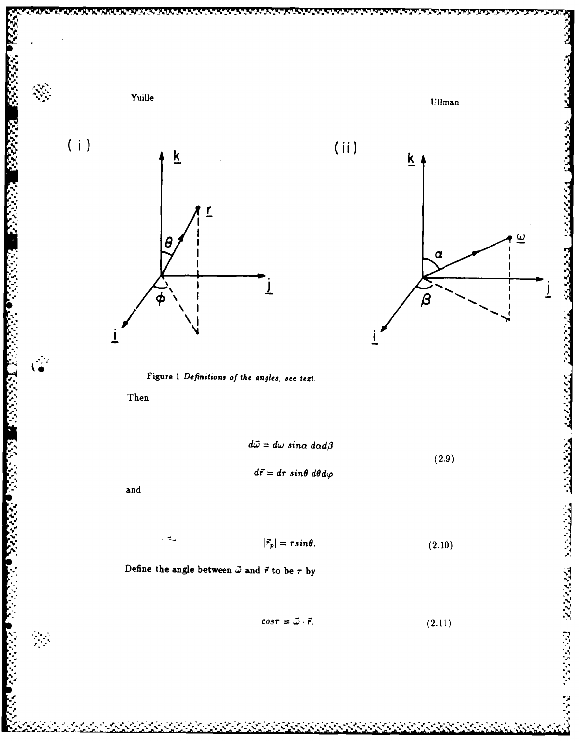33.33

833233

**SE** 

2222220

 $\mathcal{N}$ 

 $(i)$ 





 $Ullman$ 

Figure 1 Definitions of the angles, see text.

Then

$$
d\omega = d\omega \sin \alpha \, d\alpha d\beta
$$
  

$$
d\vec{r} = dr \, \sin \theta \, d\theta d\varphi
$$
 (2.9)

 $(ii)$ 

and

. ÷

$$
|\vec{r}_p| = r \sin \theta. \tag{2.10}
$$

Define the angle between  $\vec{\omega}$  and  $\vec{r}$  to be  $\tau$  by

$$
cos\tau = \vec{\omega} \cdot \vec{r}.\tag{2.11}
$$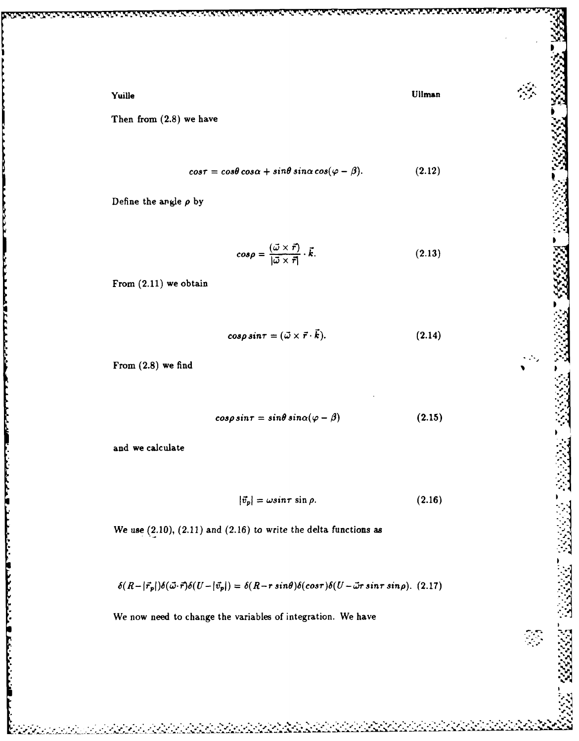Then from 
$$
(2.8)
$$
 we have

$$
cos\tau = cos\theta cos\alpha + sin\theta sin\alpha cos(\varphi - \beta).
$$
 (2.12)

Define the angle 
$$
\rho
$$
 by

$$
cos \rho = \frac{(\vec{\omega} \times \vec{r})}{|\vec{\omega} \times \vec{r}|} \cdot \vec{k}.
$$
 (2.13)

$$
From (2.11) we obtain
$$

$$
cos \rho sin \tau = (\vec{\omega} \times \vec{r} \cdot \vec{k}). \qquad (2.14)
$$

From 
$$
(2.8)
$$
 we find

$$
cos\rho sin\tau = sin\theta sin\alpha(\varphi - \beta)
$$
 (2.15)

and we calculate

$$
|\vec{v}_p| = \omega \sin \tau \sin \rho. \tag{2.16}
$$

We use  $(2.10)$ ,  $(2.11)$  and  $(2.16)$  to write the delta functions as

$$
\delta(R-|\vec{r}_p|)\delta(\vec{\omega}\cdot\vec{r})\delta(U-|\vec{v}_p|)=\delta(R-r\sin\theta)\delta(\cos\tau)\delta(U-\vec{\omega}r\sin\tau\sin\rho).
$$
 (2.17)

We now need to change the variables of integration. We have

**Ullman**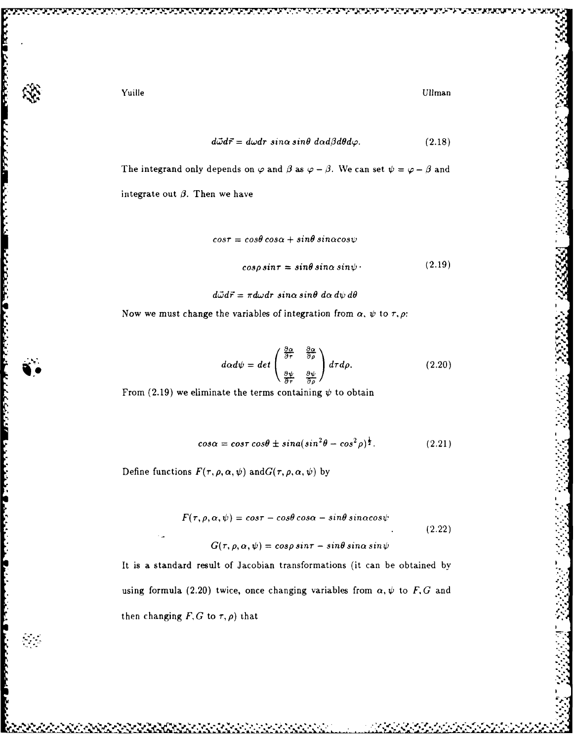متقوا المعتمد والمتعارض والمتعارف

Yuille

$$
d\vec{\omega}d\vec{r} = d\omega dr \sin\alpha \sin\theta \ d\alpha d\beta d\theta d\varphi. \qquad (2.18)
$$

The integrand only depends on  $\varphi$  and  $\beta$  as  $\varphi - \beta$ . We can set  $\psi = \varphi - \beta$  and integrate out  $\beta$ . Then we have

$$
cos\tau = cos\theta cos\alpha + sin\theta sin\alpha cos\psi
$$
  

$$
cos\rho sin\tau = sin\theta sin\alpha sin\psi
$$
 (2.19)

 $d\vec{\omega}d\vec{r} = \pi d\omega dr \sin\alpha \sin\theta \ d\alpha \ d\psi \ d\theta$ 

Now we must change the variables of integration from  $\alpha$ ,  $\psi$  to  $\tau$ ,  $\rho$ :

$$
d\alpha d\psi = det \begin{pmatrix} \frac{\partial \alpha}{\partial \tau} & \frac{\partial \alpha}{\partial \rho} \\ \frac{\partial \psi}{\partial \tau} & \frac{\partial \psi}{\partial \rho} \end{pmatrix} d\tau d\rho.
$$
 (2.20)

From (2.19) we eliminate the terms containing  $\psi$  to obtain

$$
\cos \alpha = \cos \tau \cos \theta \pm \sin a (\sin^2 \theta - \cos^2 \rho)^{\frac{1}{2}}.
$$
 (2.21)

Define functions  $F(\tau, \rho, \alpha, \psi)$  and  $G(\tau, \rho, \alpha, \psi)$  by

$$
F(\tau, \rho, \alpha, \psi) = \cos \tau - \cos \theta \cos \alpha - \sin \theta \sin \alpha \cos \psi
$$
  

$$
G(\tau, \rho, \alpha, \psi) = \cos \rho \sin \tau - \sin \theta \sin \alpha \sin \psi
$$
 (2.22)

It is a standard result of Jacobian transformations (it can be obtained by using formula (2.20) twice, once changing variables from  $\alpha, \psi$  to F, G and then changing  $F, G$  to  $\tau, \rho$ ) that

Ullman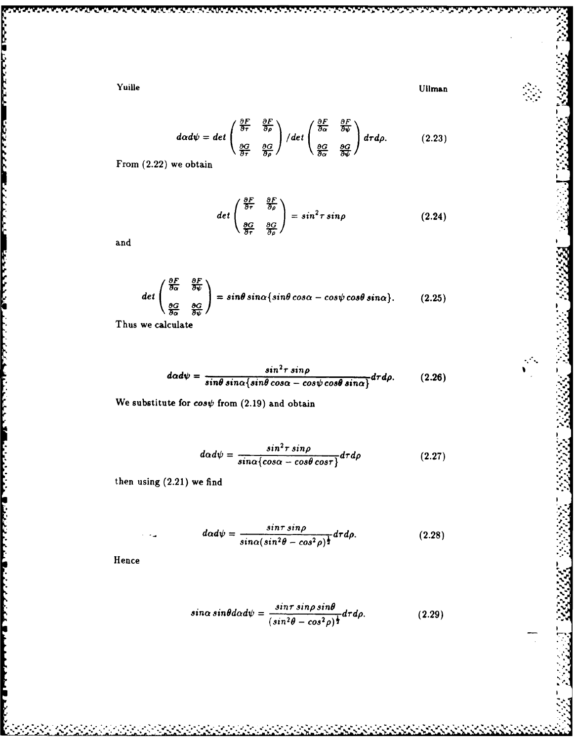Ullman

 $\mathcal{L}_{\mathcal{L}}$ 

$$
d\alpha d\psi = det \begin{pmatrix} \frac{\partial F}{\partial \tau} & \frac{\partial F}{\partial \rho} \\ \frac{\partial G}{\partial \tau} & \frac{\partial G}{\partial \rho} \end{pmatrix} / det \begin{pmatrix} \frac{\partial F}{\partial \alpha} & \frac{\partial F}{\partial \psi} \\ \frac{\partial G}{\partial \alpha} & \frac{\partial G}{\partial \psi} \end{pmatrix} d\tau d\rho.
$$
 (2.23)

From  $(2.22)$  we obtain

$$
det\begin{pmatrix} \frac{\partial F}{\partial \tau} & \frac{\partial F}{\partial \rho} \\ \frac{\partial G}{\partial \tau} & \frac{\partial G}{\partial \rho} \end{pmatrix} = sin^2 \tau sin \rho
$$
 (2.24)

and

$$
det\begin{pmatrix} \frac{\partial F}{\partial \alpha} & \frac{\partial F}{\partial \psi} \\ \frac{\partial G}{\partial \alpha} & \frac{\partial G}{\partial \psi} \end{pmatrix} = sin\theta sin\alpha \{sin\theta cos\alpha - cos\psi cos\theta sin\alpha\}.
$$
 (2.25)

Thus we calculate

$$
d\alpha d\psi = \frac{\sin^2 \tau \sin \rho}{\sin \theta \sin \alpha \{ \sin \theta \cos \alpha - \cos \psi \cos \theta \sin \alpha \}} d\tau d\rho. \tag{2.26}
$$

We substitute for  $cos\psi$  from (2.19) and obtain

$$
d\alpha d\psi = \frac{\sin^2 \tau \sin \rho}{\sin \alpha \{ \cos \alpha - \cos \theta \cos \tau \}} d\tau d\rho \qquad (2.27)
$$

then using  $(2.21)$  we find

$$
d\alpha d\psi = \frac{\sin \tau \sin \rho}{\sin \alpha (\sin^2 \theta - \cos^2 \rho)^{\frac{1}{2}}} d\tau d\rho. \tag{2.28}
$$

Hence

$$
\sin\alpha\sin\theta d\alpha d\psi = \frac{\sin\tau\sin\rho\sin\theta}{(\sin^2\theta - \cos^2\rho)^{\frac{1}{2}}}d\tau d\rho. \tag{2.29}
$$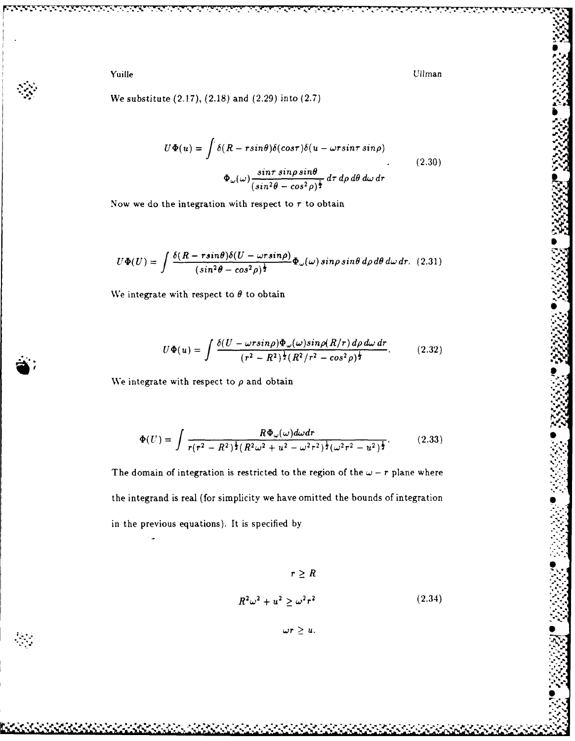$\mathbf{V}$ uille  $\mathbf{V}$ 

*d,*

*:-..*

**-**

We substitute (2.17), (2.18) and (2.29) into (2.7)

$$
U\Phi(u) = \int \delta(R - r\sin\theta)\delta(\cos\tau)\delta(u - \omega r\sin\tau\sin\rho)
$$
  
\n
$$
\Phi_{\omega}(\omega)\frac{\sin\tau\sin\rho\sin\theta}{(\sin^2\theta - \cos^2\rho)^{\frac{1}{2}}} d\tau d\rho d\theta d\omega dr
$$
 (2.30)

Nw w ote integrat with io respect to to obtain **7** "

Now we do the integration with respect to  $\tau$  to obtain

$$
U\Phi(U) = \int \frac{\delta(R - r\sin\theta)\delta(U - \omega r\sin\rho)}{(sin^2\theta - cos^2\rho)^{\frac{1}{2}}} \Phi_{\omega}(\omega) \sin\rho \sin\theta \,d\rho \,d\theta \,d\omega \,dr. \tag{2.31}
$$

We integrate with respect to  $\theta$  to obtain (2.7)  $\alpha$ 

$$
U\Phi(u) = \int \frac{\delta(U - \omega r sin \rho)\Phi_{\omega}(\omega)sin \rho(R/r) d\rho d\omega dr}{(r^2 - R^2)^{\frac{1}{2}}(R^2/r^2 - cos^2 \rho)^{\frac{1}{2}}}.
$$
 (2.32)

We integrate with respect to  $\rho$  and obtain

$$
\Phi(U) = \int \frac{R\Phi_{\omega}(\omega)d\omega dr}{r(r^2 - R^2)^{\frac{1}{2}}(R^2\omega^2 + u^2 - \omega^2r^2)^{\frac{1}{2}}(\omega^2r^2 - u^2)^{\frac{1}{2}}}.
$$
 (2.33)

the integrand **is** real (for simplicity we have omitted the bounds of integration in the previous equations). It is specified by r> *R '....*

> $r \geq R$ <sup>2</sup>**>** L2ra (2.34) "('2-  $R^2\omega^2 + u^2 \geq \omega^2r^2$  $(2.34)$  $\omega r \geq u$ .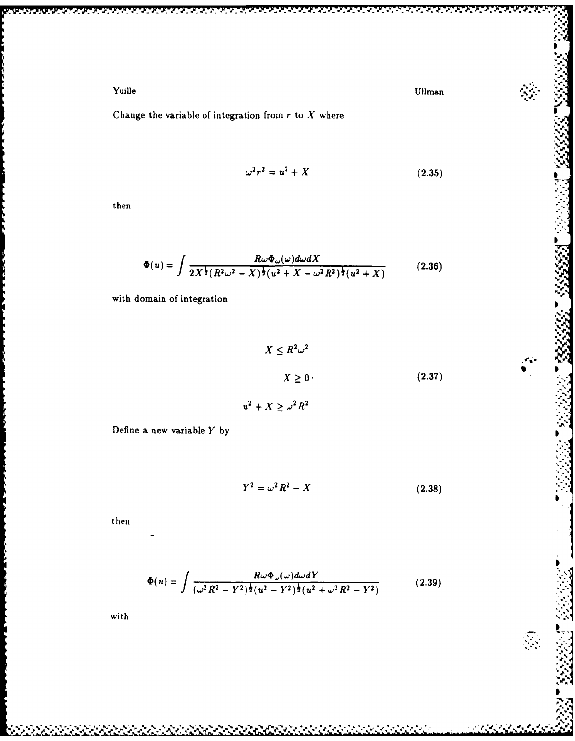Ullman

# Change the variable of integration from  $r$  to  $X$  where

$$
\omega^2 r^2 = u^2 + X \tag{2.35}
$$

then

$$
\Phi(u) = \int \frac{R\omega\Phi_{\omega}(\omega)d\omega dX}{2X^{\frac{1}{2}}(R^2\omega^2 - X)^{\frac{1}{2}}(u^2 + X - \omega^2R^2)^{\frac{1}{2}}(u^2 + X)}
$$
(2.36)

with domain of integration

$$
X \le R^2 \omega^2
$$
  

$$
X \ge 0
$$
 (2.37)  

$$
u^2 + X \ge \omega^2 R^2
$$

Define a new variable  $Y$  by

$$
Y^2 = \omega^2 R^2 - X \tag{2.38}
$$

then

$$
\Phi(u) = \int \frac{R\omega\Phi_{\omega}(\omega)d\omega dY}{(\omega^2 R^2 - Y^2)^{\frac{1}{2}}(u^2 - Y^2)^{\frac{1}{2}}(u^2 + \omega^2 R^2 - Y^2)}
$$
(2.39)

a teterak

with

37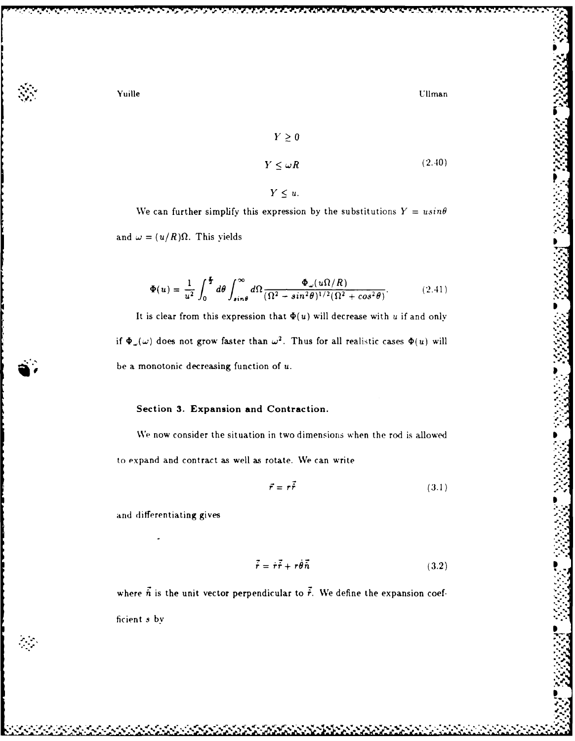$$
Y \ge 0
$$
  

$$
Y \le \omega R \tag{2.40}
$$

Ullman

 $Y \leq u$ .

We can further simplify this expression by the substitutions  $Y = u \sin \theta$ and  $\omega = (u/R)\Omega$ . This yields

$$
\Phi(u) = \frac{1}{u^2} \int_0^{\frac{\pi}{2}} d\theta \int_{\sin\theta}^{\infty} d\Omega \frac{\Phi_{\omega}(u\Omega/R)}{(\Omega^2 - \sin^2\theta)^{1/2}(\Omega^2 + \cos^2\theta)}.
$$
 (2.41)

It is clear from this expression that  $\Phi(u)$  will decrease with u if and only if  $\Phi_{\omega}(\omega)$  does not grow faster than  $\omega^2$ . Thus for all realistic cases  $\Phi(u)$  will be a monotonic decreasing function of u.

## Section 3. Expansion and Contraction.

We now consider the situation in two dimensions when the rod is allowed to expand and contract as well as rotate. We can write

$$
\vec{r} = r\hat{r} \tag{3.1}
$$

and differentiating gives

$$
\vec{r} = \dot{r}\vec{r} + r\dot{\theta}\vec{n} \tag{3.2}
$$

where  $\vec{\hat{n}}$  is the unit vector perpendicular to  $\vec{\hat{r}}$ . We define the expansion coefficient s by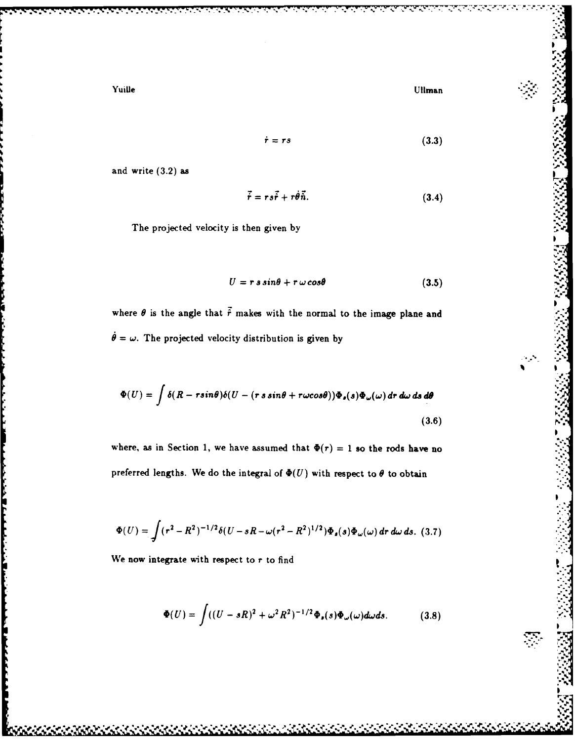$\sum_{i=1}^{n}$ 

$$
\dot{r} = rs \tag{3.3}
$$

and write  $(3.2)$  as

$$
\vec{r} = rs\vec{r} + r\dot{\theta}\vec{n}.\tag{3.4}
$$

The projected velocity is then given by

$$
U = r \sin\theta + r \omega \cos\theta \tag{3.5}
$$

where  $\theta$  is the angle that  $\vec{r}$  makes with the normal to the image plane and  $\dot{\theta} = \omega$ . The projected velocity distribution is given by

$$
\Phi(U) = \int \delta(R - r sin\theta)\delta(U - (r sin\theta + r\omega cos\theta))\Phi_s(s)\Phi_\omega(\omega) d\tau d\omega ds d\theta
$$
\n(3.6)

where, as in Section 1, we have assumed that  $\Phi(r) = 1$  so the rods have no preferred lengths. We do the integral of  $\Phi(U)$  with respect to  $\theta$  to obtain

$$
\Phi(U) = \int (r^2 - R^2)^{-1/2} \delta(U - sR - \omega(r^2 - R^2)^{1/2}) \Phi_s(s) \Phi_\omega(\omega) dr d\omega ds. (3.7)
$$

We now integrate with respect to  $r$  to find

$$
\Phi(U) = \int ((U - sR)^2 + \omega^2 R^2)^{-1/2} \Phi_{\mathfrak{s}}(s) \Phi_{\omega}(\omega) d\omega ds. \tag{3.8}
$$

Yuille

فتنفض والمستقار والمناسب

**All Property Company of the United States of the United States of the United States of the United States of the U**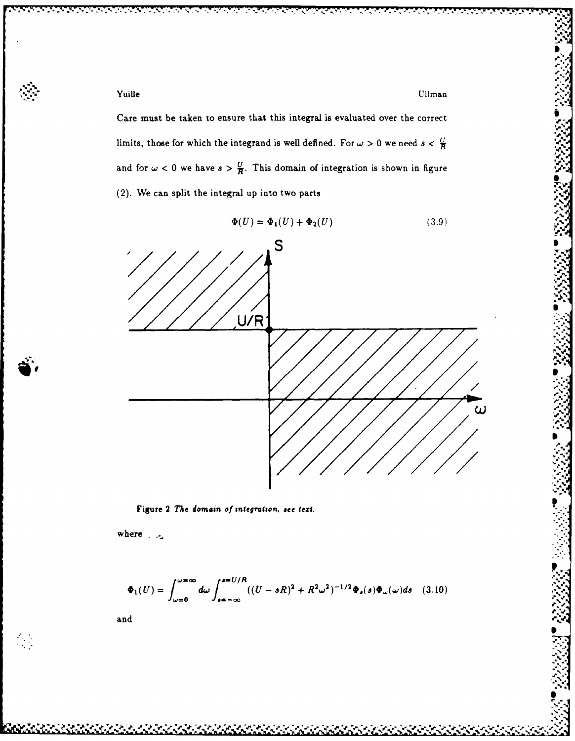Care must be taken to ensure that this integral is evaluated over the correct limits, those for which the integrand is well defined. For  $\omega > 0$  we need  $s < \frac{U}{R}$ and for  $\omega < 0$  we have  $s > \frac{U}{R}$ . This domain of integration is shown in figure (2). We can split the integral up into two parts

$$
\Phi(U) = \Phi_1(U) + \Phi_2(U) \tag{3.9}
$$



Figure 2 The domain of integration, see text.

where  $\sim$ 

$$
\Phi_1(U) = \int_{\omega=0}^{\omega=\infty} d\omega \int_{s=-\infty}^{s=U/R} ((U-sR)^2 + R^2 \omega^2)^{-1/2} \Phi_s(s) \Phi_\omega(\omega) ds \quad (3.10)
$$

and

Yuille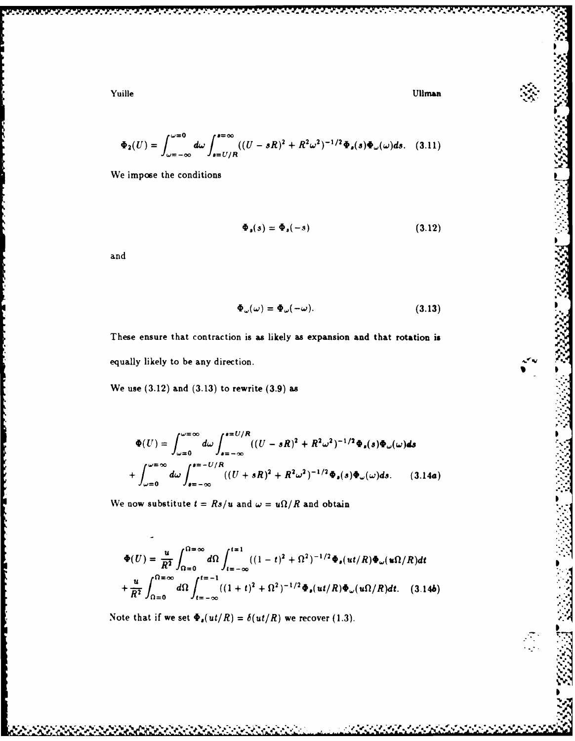$\frac{\sqrt{2}}{2}$ 

$$
\Phi_2(U) = \int_{\omega=-\infty}^{\omega=0} d\omega \int_{s=U/R}^{s=\infty} ((U-sR)^2 + R^2 \omega^2)^{-1/2} \Phi_s(s) \Phi_\omega(\omega) ds. \quad (3.11)
$$

We impose the conditions

$$
\Phi_{s}(s) = \Phi_{s}(-s) \tag{3.12}
$$

and

فالمتقام فالمتساخ فالمستخلف والمستخلف والمستخلف

$$
\Phi_{\omega}(\omega) = \Phi_{\omega}(-\omega). \tag{3.13}
$$

These ensure that contraction is as likely as expansion and that rotation is equally likely to be any direction.

We use  $(3.12)$  and  $(3.13)$  to rewrite  $(3.9)$  as

$$
\Phi(U) = \int_{\omega=0}^{\omega=\infty} d\omega \int_{s=-\infty}^{s=U/R} ((U - sR)^2 + R^2 \omega^2)^{-1/2} \Phi_s(s) \Phi_\omega(\omega) ds
$$
  
+ 
$$
\int_{\omega=0}^{\omega=\infty} d\omega \int_{s=-\infty}^{s=-U/R} ((U + sR)^2 + R^2 \omega^2)^{-1/2} \Phi_s(s) \Phi_\omega(\omega) ds. \qquad (3.14a)
$$

We now substitute  $t = Rs/u$  and  $\omega = u\Omega/R$  and obtain

$$
\Phi(U) = \frac{u}{R^2} \int_{\Omega=0}^{\Omega=\infty} d\Omega \int_{t=-\infty}^{t=1} ((1-t)^2 + \Omega^2)^{-1/2} \Phi_s(ut/R) \Phi_\omega(u\Omega/R) dt
$$
  
+ 
$$
\frac{u}{R^2} \int_{\Omega=0}^{\Omega=\infty} d\Omega \int_{t=-\infty}^{t=-1} ((1+t)^2 + \Omega^2)^{-1/2} \Phi_s(ut/R) \Phi_\omega(u\Omega/R) dt. \quad (3.14b)
$$

Note that if we set  $\Phi_s(u t/R) = \delta(u t/R)$  we recover (1.3).

Yuille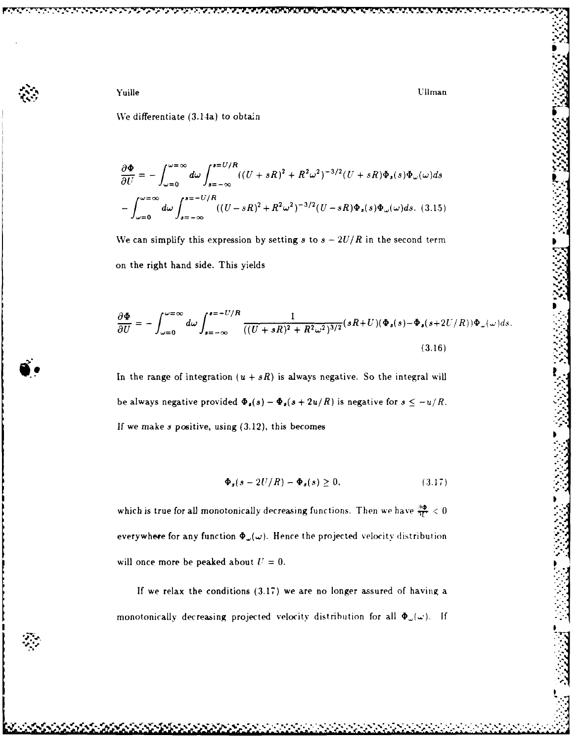We differentiate  $(3.14a)$  to obtain

$$
\frac{\partial \Phi}{\partial U} = -\int_{\omega=0}^{\omega=\infty} d\omega \int_{s=-\infty}^{s=U/R} ((U+sR)^2 + R^2 \omega^2)^{-3/2} (U+sR) \Phi_s(s) \Phi_\omega(\omega) ds
$$

$$
-\int_{\omega=0}^{\omega=\infty} d\omega \int_{s=-\infty}^{s=-U/R} ((U-sR)^2 + R^2 \omega^2)^{-3/2} (U-sR) \Phi_s(s) \Phi_\omega(\omega) ds. (3.15)
$$

We can simplify this expression by setting  $s$  to  $s - 2U/R$  in the second term on the right hand side. This yields

$$
\frac{\partial \Phi}{\partial U} = -\int_{\omega=0}^{\omega=\infty} d\omega \int_{s=-\infty}^{s=-U/R} \frac{1}{((U+sR)^2 + R^2 \omega^2)^{3/2}} (sR+U)(\Phi_s(s) - \Phi_s(s+2U/R))\Phi_{\omega}(\omega)ds.
$$
\n(3.16)

In the range of integration  $(u + sR)$  is always negative. So the integral will be always negative provided  $\Phi_{s}(s) - \Phi_{s}(s + 2u/R)$  is negative for  $s \leq -u/R$ . **If** we make *s* positive, using **(3.12),** this becomes

$$
\Phi_{s}(s-2U/R)-\Phi_{s}(s)\geq 0.
$$
\n(3.17)

which is true for all monotonically decreasing functions. Then we have  $\frac{\partial \Phi}{\partial C} < 0$ everywhere for any function  $\Phi_{\omega}(\omega)$ . Hence the projected velocity distribution will once more be peaked about  $U = 0$ .

**If** we relax the conditions **(3.17)** we are no longer assured of having a monotonically decreasing projected velocity distribution for all  $\Phi_{\omega}(\omega)$ . If

'r Ulman yn y ffund a cyfeiriad ar y ddiwysodd yn y Ulman yn y Ulman y Ulman y Ulman y Ulman y Ulman y Ulman y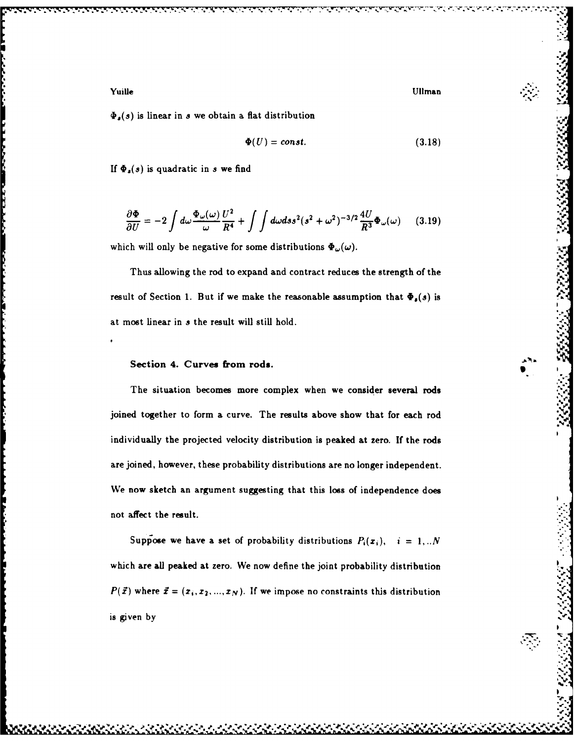**Yuille Example 2008 Contract Contract Contract Contract Contract Contract Contract Contract Contract Contract Contract Contract Contract Contract Contract Contract Contract Contract Contract Contract Contract Contract** 

 $\Phi_{\bf{a}}(s)$  is linear in *s* we obtain a flat distribution

$$
\Phi(U) = const. \tag{3.18}
$$

If  $\Phi_s(s)$  is quadratic in *s* we find

$$
\frac{\partial \Phi}{\partial U} = -2 \int d\omega \frac{\Phi_{\omega}(\omega)}{\omega} \frac{U^2}{R^4} + \int \int d\omega ds s^2 (s^2 + \omega^2)^{-3/2} \frac{4U}{R^3} \Phi_{\omega}(\omega) \qquad (3.19)
$$

which will only be negative for some distributions  $\Phi_{\omega}(\omega)$ .

Thus allowing the rod to expand and contract reduces the strength of the result of Section 1. But if we make the reasonable assumption that  $\Phi_s(s)$  is at most linear in **a** the result will still hold.

## Section **4. Curves from rods.**

The situation becomes more complex when we consider several rods joined together to form a curve. The results above show that for each rod individually the projected velocity distribution is peaked at zero. **If** the rods are joined, however, these probability distributions are no longer independent. We now sketch an argument suggesting that this loss of independence does not affect the result.

Suppose we have a set of probability distributions  $P_i(x_i)$ ,  $i = 1,..N$ which are all peaked at zero. We now define the joint probability distribution  $P(\vec{x})$  where  $\vec{x} = (x_1, x_2, ..., x_N)$ . If we impose no constraints this distribution is given **by**

**,N]**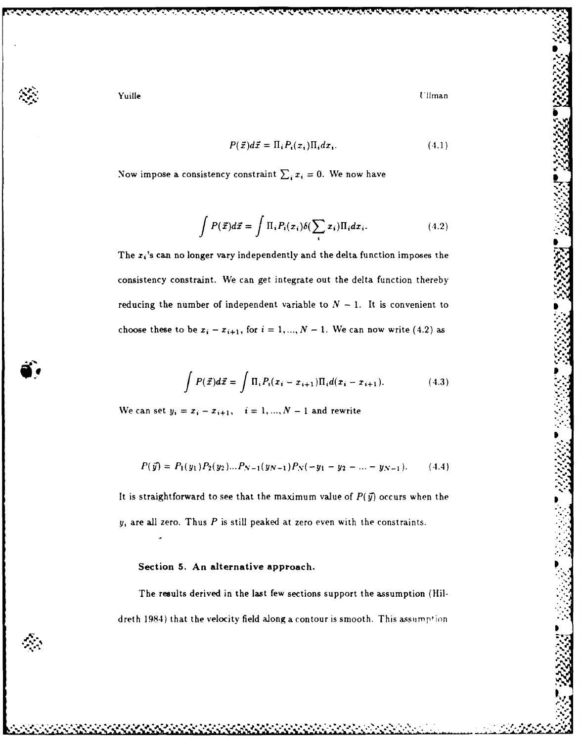$$
P(\vec{x})d\vec{x} = \Pi_i P_i(x_i)\Pi_i dx_i.
$$
 (4.1)

Ullman

Now impose a consistency constraint  $\sum_i x_i = 0$ . We now have

$$
\int P(\vec{x})d\vec{x} = \int \Pi_i P_i(x_i)\delta(\sum_i x_i)\Pi_i dx_i.
$$
 (4.2)

The  $x_i$ 's can no longer vary independently and the delta function imposes the consistency constraint. We can get integrate out the delta function thereby reducing the number of independent variable to  $N-1$ . It is convenient to choose these to be  $x_i - x_{i+1}$ , for  $i = 1, ..., N - 1$ . We can now write (4.2) as

$$
\int P(\vec{x})d\vec{x} = \int \Pi_i P_i(x_i - x_{i+1})\Pi_i d(x_i - x_{i+1}). \tag{4.3}
$$

We can set  $y_i = x_i - x_{i+1}$ ,  $i = 1, ..., N - 1$  and rewrite

$$
P(\vec{y}) = P_1(y_1) P_2(y_2) ... P_{N-1}(y_{N-1}) P_N(-y_1 - y_2 - ... - y_{N-1}). \tag{4.4}
$$

It is straightforward to see that the maximum value of  $P(\vec{y})$  occurs when the  $y_i$  are all zero. Thus  $P$  is still peaked at zero even with the constraints.

## Section 5. An alternative approach.

The results derived in the last few sections support the assumption (Hildreth 1984) that the velocity field along a contour is smooth. This assumption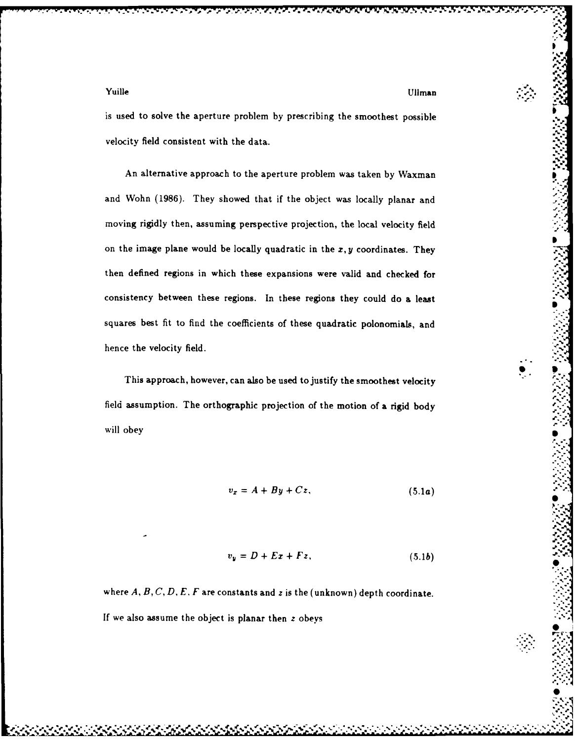is used to solve the aperture problem by prescribing the smoothest possible velocity field consistent with the data.

An alternative approach to the aperture problem was taken by Waxman and Wohn (1986). They showed that if the object was locally planar and moving rigidly then, assuming perspective projection, the local velocity field on the image plane would be locally quadratic in the  $x, y$  coordinates. They then defined regions in which these expansions were valid and checked for consistency between these regions. In these regions they could do a least squares best fit to find the coefficients of these quadratic polonomials, and hence the velocity field.

This approach, however, can also be used to justify the smoothest velocity field assumption. The orthographic projection of the motion of a rigid body will obey

$$
v_x = A + By + Cz, \qquad (5.1a)
$$

$$
v_y = D + Ex + Fz, \qquad (5.1b)
$$

where  $A, B, C, D, E, F$  are constants and z is the (unknown) depth coordinate. If we also assume the object is planar then  $z$  obeys

## Yuille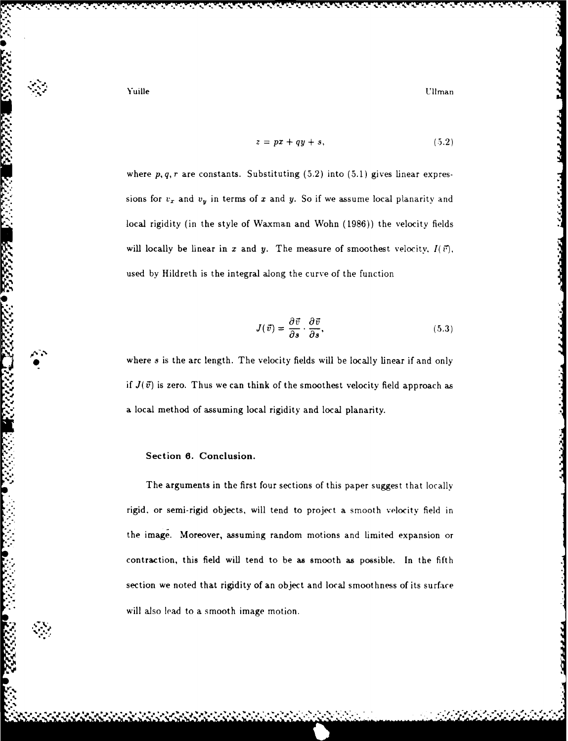**The Community of the Ullman** Community of the Ullman Community of the Ullman Community of the Ullman Community of the Ullman Community of the Ullman Community of the Ullman Community of the Ullman Community of the Ullman

$$
z = px + qy + s,\tag{5.2}
$$

where  $p, q, r$  are constants. Substituting (5.2) into (5.1) gives linear expressions for  $v_x$  and  $v_y$  in terms of x and y. So if we assume local planarity and local rigidity (in the style of Waxman and Wohn (1986)) the velocity fields will locally be linear in *x* and *y*. The measure of smoothest velocity,  $I(\vec{v})$ , used by Hildreth is the integral along the curve of the function

$$
J(\vec{v}) = \frac{\partial \vec{v}}{\partial s} \cdot \frac{\partial \vec{v}}{\partial s},\tag{5.3}
$$

where *s* is the arc length. The velocity fields will be locally linear if and only if  $J(\vec{v})$  is zero. Thus we can think of the smoothest velocity field approach as a local method of assuming local rigidity and local planarity.

## Section 6. Conclusion.

**V.**

F, .

**BASE CARDS** 

The arguments in the first four sections of this paper suggest that locally rigid, or semi-rigid objects, will tend to project a smooth velocity field in the image. Moreover, assuming random motions and limited expansion or contraction, this field will tend to be as smooth as possible. In the fifth section we noted that rigidity of an object and local smoothness of its surface will also lead to a smooth image motion.

- \* **F**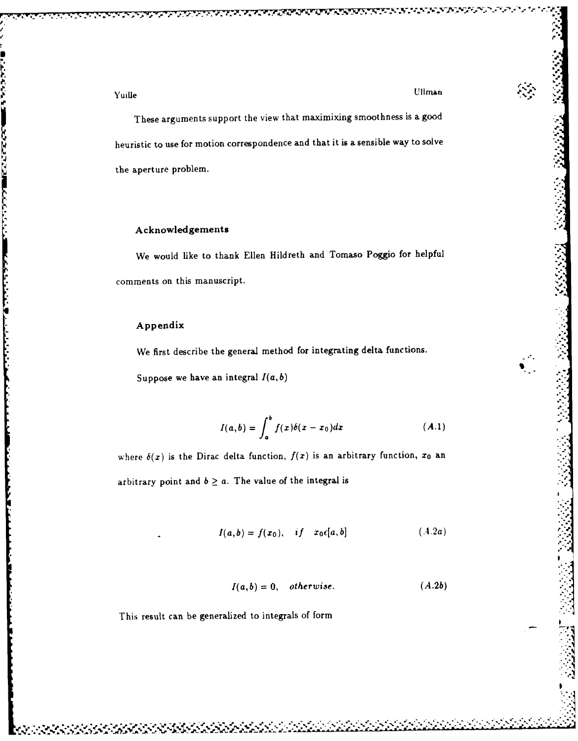<u>המנהלת המנהלת המנהלת המנהלת המנהלת המנהלת המנהלת המנהלת המנהלת המנהלת המנהלת המנהלת המנהלת המנהלת המנהלת המנה</u>

ستماس المستنبذ وأعمال

## **YuiLle** UlIman

These arguments support the view that maximixing smoothness is a **good** heuristic to use for motion correspondence and that it is a sensible way to solve the aperture problem.

## Acknowledgements"

We would like to thank Ellen Hildreth and Tomaso Poggio for helpful comments on this manuscript.

## Appendix

We first describe the general method for integrating delta functions.

Suppose we have an integral *I(a,b)*

$$
I(a,b) = \int_a^b f(x)\delta(x-x_0)dx
$$
 (A.1)

where  $\delta(x)$  is the Dirac delta function,  $f(x)$  is an arbitrary function,  $x_0$  an arbitrary point and  $b \ge a$ . The value of the integral is

$$
I(a,b) = f(x_0), \quad if \quad x_0 \in [a,b] \tag{A.2a}
$$

$$
I(a,b) = 0, \quad otherwise. \tag{A.2b}
$$

 $-$  , and the set of the set of the set of the set of the set of the set of the set of the set of the set of the set of the set of the set of the set of the set of the set of the set of the set of the set of the set of th

This result can be generalized to integrals of form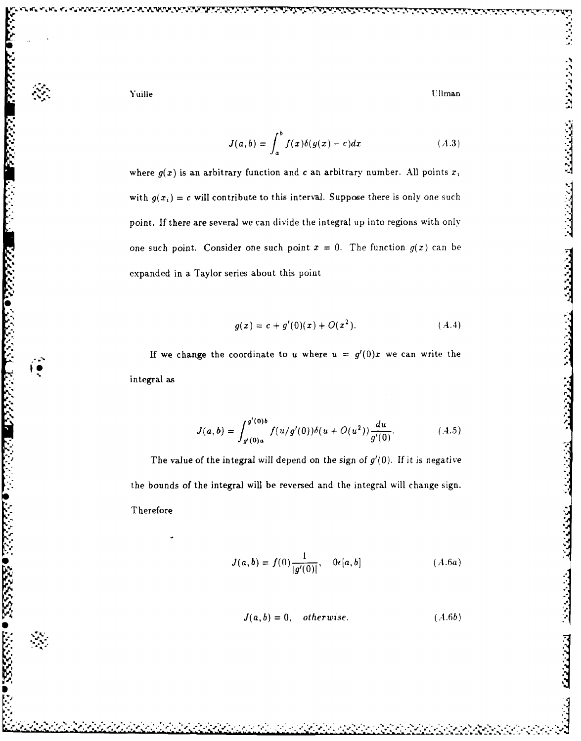$\sum_{i=1}^{n}$   $\sum_{i=1}^{n}$   $\sum_{i=1}^{n}$   $\sum_{i=1}^{n}$   $\sum_{i=1}^{n}$   $\sum_{i=1}^{n}$   $\sum_{i=1}^{n}$   $\sum_{i=1}^{n}$   $\sum_{i=1}^{n}$   $\sum_{i=1}^{n}$   $\sum_{i=1}^{n}$   $\sum_{i=1}^{n}$   $\sum_{i=1}^{n}$   $\sum_{i=1}^{n}$   $\sum_{i=1}^{n}$   $\sum_{i=1}^{n}$   $\sum_{i=1}^{n}$ 

**WASA DE** 

**ASSESSED AND LOCAL LABOUR** 

$$
J(a,b) = \int_{a}^{b} f(x)\delta(g(x) - c)dx
$$
 (A.3)

where  $g(x)$  is an arbitrary function and c an arbitrary number. All points  $x_i$ with  $g(x_i) = c$  will contribute to this interval. Suppose there is only one such point. If there are several we can divide the integral up into regions with only one such point. Consider one such point  $x = 0$ . The function  $g(x)$  can be one such point. Consider one such point x<br>
expanded in a Taylor series about this point<br>  $g(x) = c + g'(0)(x) +$ <br>
If we change the coordinate to u wher

$$
g(x) = c + g'(0)(x) + O(x^2). \tag{A.4}
$$

If we change the coordinate to *u* where  $u = g'(0)x$  we can write the integral as

$$
J(a,b) = \int_{g'(0)a}^{g'(0)b} f(u/g'(0))\delta(u+O(u^2))\frac{du}{g'(0)}.
$$
 (A.5)

The value of the integral will depend on the sign of  $g'(0)$ . If it is negative the bounds of the integral will be reversed and the integral will change sign. Therefore

$$
J(a,b) = f(0) \frac{1}{|g'(0)|}, \quad 0\epsilon[a,b]
$$
 (A.6a)

$$
J(a,b) = 0, \quad otherwise. \tag{A.6b}
$$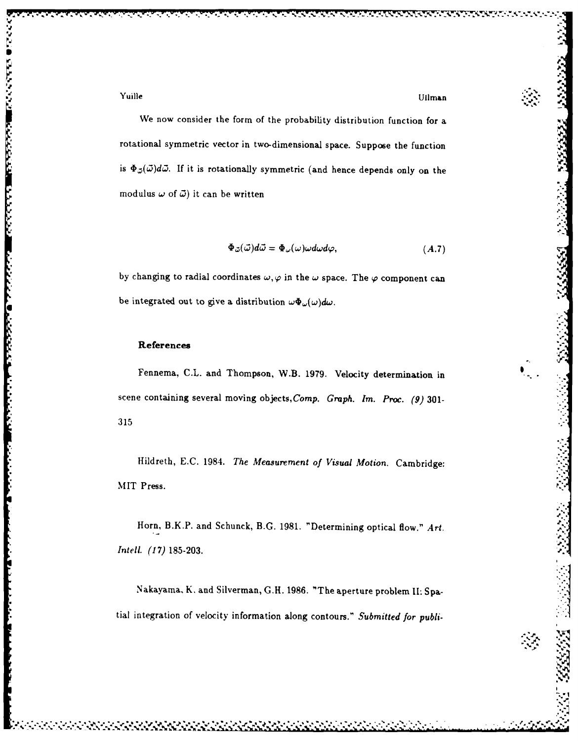**CONSTRUCTION** 

والمتحدث والمتخرج المناسب والمحافظ والمحافظ المتحدث والمحافظة

**WARDER** 

**The State of State of State of State of State of State of State of State of State of State of State of State** 

Uilman

We now consider the form of the probability distribution function for a rotational symmetric vector in two-dimensional space. Suppose the function is  $\Phi_{\vec{\omega}}(\vec{\omega})d\vec{\omega}$ . If it is rotationally symmetric (and hence depends only on the modulus  $\omega$  of  $\vec{\omega}$ ) it can be written

$$
\Phi_{\vec{\omega}}(\vec{\omega})d\vec{\omega} = \Phi_{\omega}(\omega)\omega d\omega d\varphi, \qquad (A.7)
$$

by changing to radial coordinates  $\omega, \varphi$  in the  $\omega$  space. The  $\varphi$  component can be integrated out to give a distribution  $\omega \Phi_{\omega}(\omega) d\omega$ .

## References

Fennema, C.L. and Thompson, W.B. 1979. Velocity determination in scene containing several moving objects, Comp. Graph. Im. Proc. (9) 301-315

Hildreth, E.C. 1984. The Measurement of Visual Motion. Cambridge: MIT Press.

Horn, B.K.P. and Schunck, B.G. 1981. "Determining optical flow." Art. Intell. (17) 185-203.

Nakayama, K. and Silverman, G.H. 1986. "The aperture problem II: Spatial integration of velocity information along contours." Submitted for publi-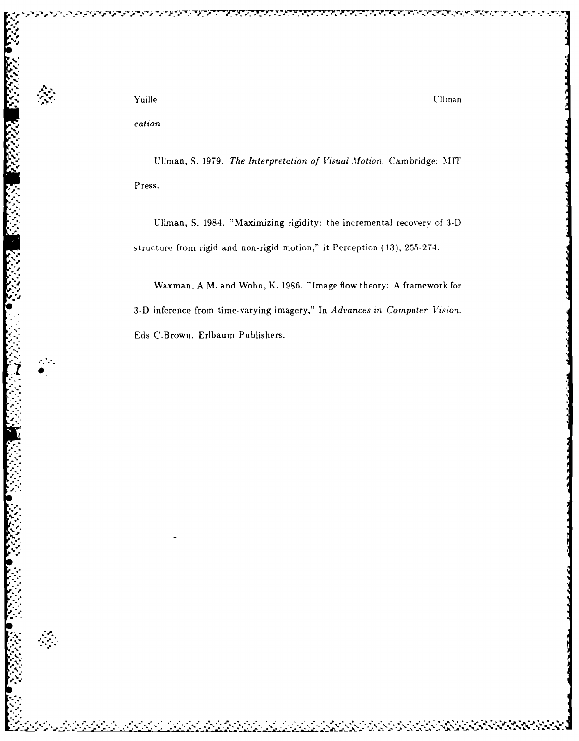Ullman

cation

Ullman, S. 1979. The Interpretation of Visual Motion. Cambridge: MIT Press.

Ullman, S. 1984. "Maximizing rigidity: the incremental recovery of 3-D structure from rigid and non-rigid motion," it Perception (13), 255-274.

Waxman, A.M. and Wohn, K. 1986. "Image flow theory: A framework for 3-D inference from time-varying imagery," In Advances in Computer Vision. Eds C.Brown. Erlbaum Publishers.